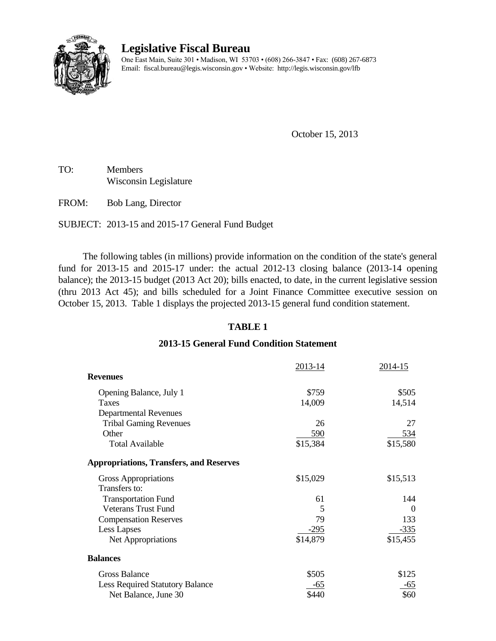

# **Legislative Fiscal Bureau**

One East Main, Suite 301 • Madison, WI 53703 • (608) 266-3847 • Fax: (608) 267-6873 Email: fiscal.bureau@legis.wisconsin.gov • Website:<http://legis.wisconsin.gov/lfb>

October 15, 2013

TO: Members Wisconsin Legislature

FROM: Bob Lang, Director

SUBJECT: 2013-15 and 2015-17 General Fund Budget

The following tables (in millions) provide information on the condition of the state's general fund for 2013-15 and 2015-17 under: the actual 2012-13 closing balance (2013-14 opening balance); the 2013-15 budget (2013 Act 20); bills enacted, to date, in the current legislative session (thru 2013 Act 45); and bills scheduled for a Joint Finance Committee executive session on October 15, 2013. Table 1 displays the projected 2013-15 general fund condition statement.

## **TABLE 1**

### **2013-15 General Fund Condition Statement**

|                                                | 2013-14  | 2014-15        |
|------------------------------------------------|----------|----------------|
| <b>Revenues</b>                                |          |                |
| Opening Balance, July 1                        | \$759    | \$505          |
| Taxes                                          | 14,009   | 14,514         |
| <b>Departmental Revenues</b>                   |          |                |
| <b>Tribal Gaming Revenues</b>                  | 26       | 27             |
| Other                                          | 590      | <u>534</u>     |
| <b>Total Available</b>                         | \$15,384 | \$15,580       |
| <b>Appropriations, Transfers, and Reserves</b> |          |                |
| Gross Appropriations                           | \$15,029 | \$15,513       |
| Transfers to:                                  |          |                |
| <b>Transportation Fund</b>                     | 61       | 144            |
| Veterans Trust Fund                            | 5        | $\overline{0}$ |
| <b>Compensation Reserves</b>                   | 79       | 133            |
| Less Lapses                                    | $-295$   | $-335$         |
| Net Appropriations                             | \$14,879 | \$15,455       |
| <b>Balances</b>                                |          |                |
| Gross Balance                                  | \$505    | \$125          |
| Less Required Statutory Balance                | -65      | -65            |
| Net Balance, June 30                           | \$440    | \$60           |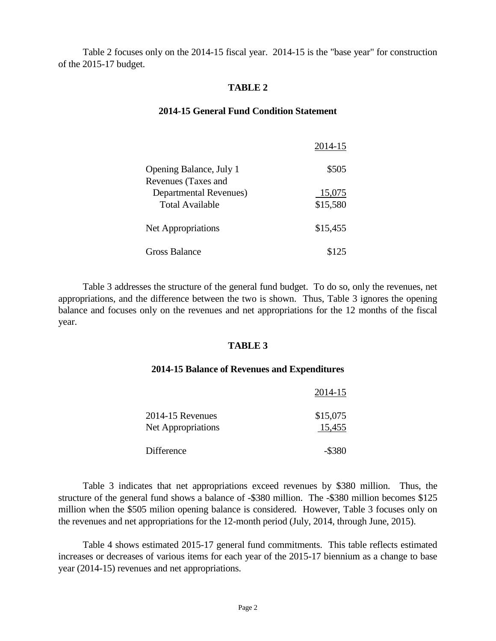Table 2 focuses only on the 2014-15 fiscal year. 2014-15 is the "base year" for construction of the 2015-17 budget.

### **TABLE 2**

#### **2014-15 General Fund Condition Statement**

|                                                       | 2014-15  |
|-------------------------------------------------------|----------|
| Opening Balance, July 1<br><b>Revenues (Taxes and</b> | \$505    |
| <b>Departmental Revenues</b> )                        | 15,075   |
| Total Available                                       | \$15,580 |
| <b>Net Appropriations</b>                             | \$15,455 |
| Gross Balance                                         | \$125    |

Table 3 addresses the structure of the general fund budget. To do so, only the revenues, net appropriations, and the difference between the two is shown. Thus, Table 3 ignores the opening balance and focuses only on the revenues and net appropriations for the 12 months of the fiscal year.

#### **TABLE 3**

#### **2014-15 Balance of Revenues and Expenditures**

|                           | 2014-15   |
|---------------------------|-----------|
| 2014-15 Revenues          | \$15,075  |
| <b>Net Appropriations</b> | 15,455    |
| Difference                | $-$ \$380 |

Table 3 indicates that net appropriations exceed revenues by \$380 million. Thus, the structure of the general fund shows a balance of -\$380 million. The -\$380 million becomes \$125 million when the \$505 milion opening balance is considered. However, Table 3 focuses only on the revenues and net appropriations for the 12-month period (July, 2014, through June, 2015).

Table 4 shows estimated 2015-17 general fund commitments. This table reflects estimated increases or decreases of various items for each year of the 2015-17 biennium as a change to base year (2014-15) revenues and net appropriations.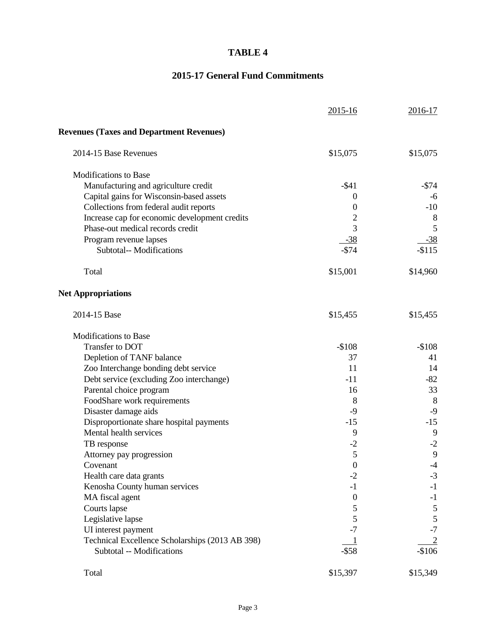## **TABLE 4**

# **2015-17 General Fund Commitments**

|                                                 | $2015 - 16$      | 2016-17        |
|-------------------------------------------------|------------------|----------------|
| <b>Revenues (Taxes and Department Revenues)</b> |                  |                |
| 2014-15 Base Revenues                           | \$15,075         | \$15,075       |
| <b>Modifications to Base</b>                    |                  |                |
| Manufacturing and agriculture credit            | $-$ \$41         | $-$ \$74       |
| Capital gains for Wisconsin-based assets        | 0                | -6             |
| Collections from federal audit reports          | $\boldsymbol{0}$ | $-10$          |
| Increase cap for economic development credits   | 2                | 8              |
| Phase-out medical records credit                | 3                | 5              |
| Program revenue lapses                          | $-38$            | $-38$          |
| <b>Subtotal-- Modifications</b>                 | $-$74$           | $-$115$        |
| Total                                           | \$15,001         | \$14,960       |
| <b>Net Appropriations</b>                       |                  |                |
| 2014-15 Base                                    | \$15,455         | \$15,455       |
| <b>Modifications to Base</b>                    |                  |                |
| Transfer to DOT                                 | $-$108$          | $-$108$        |
| Depletion of TANF balance                       | 37               | 41             |
| Zoo Interchange bonding debt service            | 11               | 14             |
| Debt service (excluding Zoo interchange)        | $-11$            | $-82$          |
| Parental choice program                         | 16               | 33             |
| FoodShare work requirements                     | 8                | 8              |
| Disaster damage aids                            | $-9$             | $-9$           |
| Disproportionate share hospital payments        | $-15$            | $-15$          |
| Mental health services                          | 9                | 9              |
| TB response                                     | $-2$             | $-2$           |
| Attorney pay progression                        | 5                | 9              |
| Covenant                                        | $\overline{0}$   | $-4$           |
| Health care data grants                         | $-2$             | $-3$           |
| Kenosha County human services                   | $-1$             | $-1$           |
| MA fiscal agent                                 | $\boldsymbol{0}$ | $-1$           |
| Courts lapse                                    | 5                | $\sqrt{5}$     |
| Legislative lapse                               | 5                | $\mathfrak{S}$ |
| UI interest payment                             | $-7$             | $-7$           |
| Technical Excellence Scholarships (2013 AB 398) |                  | $\overline{2}$ |
| Subtotal -- Modifications                       | $-$ \$58         | $-$106$        |
| Total                                           | \$15,397         | \$15,349       |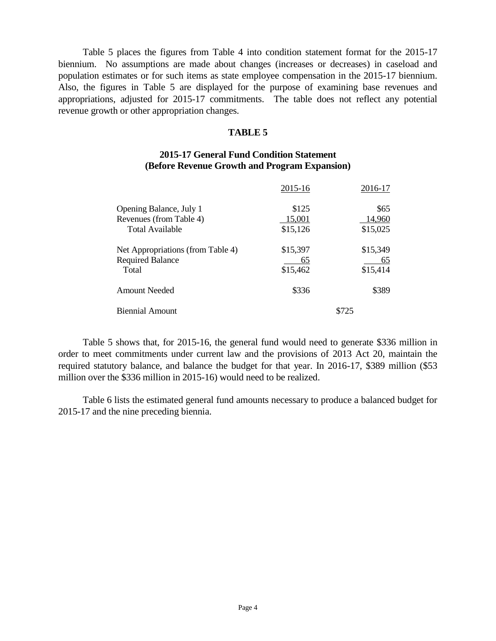Table 5 places the figures from Table 4 into condition statement format for the 2015-17 biennium. No assumptions are made about changes (increases or decreases) in caseload and population estimates or for such items as state employee compensation in the 2015-17 biennium. Also, the figures in Table 5 are displayed for the purpose of examining base revenues and appropriations, adjusted for 2015-17 commitments. The table does not reflect any potential revenue growth or other appropriation changes.

#### **TABLE 5**

### **2015-17 General Fund Condition Statement (Before Revenue Growth and Program Expansion)**

|                                   | 2015-16  | 2016-17  |
|-----------------------------------|----------|----------|
| Opening Balance, July 1           | \$125    | \$65     |
| Revenues (from Table 4)           | 15,001   | 14,960   |
| Total Available                   | \$15,126 | \$15,025 |
| Net Appropriations (from Table 4) | \$15,397 | \$15,349 |
| <b>Required Balance</b>           | 65       | 65       |
| Total                             | \$15,462 | \$15,414 |
| <b>Amount Needed</b>              | \$336    | \$389    |
| <b>Biennial Amount</b>            | \$725    |          |

Table 5 shows that, for 2015-16, the general fund would need to generate \$336 million in order to meet commitments under current law and the provisions of 2013 Act 20, maintain the required statutory balance, and balance the budget for that year. In 2016-17, \$389 million (\$53 million over the \$336 million in 2015-16) would need to be realized.

Table 6 lists the estimated general fund amounts necessary to produce a balanced budget for 2015-17 and the nine preceding biennia.